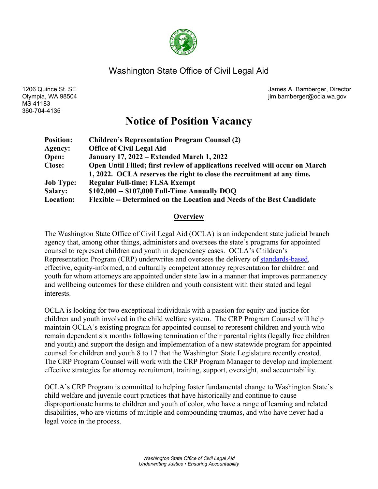

## Washington State Office of Civil Legal Aid

MS 41183 360-704-4135

1206 Quince St. SE James A. Bamberger, Director Olympia, WA 98504 jim.bamberger@ocla.wa.gov

# **Notice of Position Vacancy**

| <b>Position:</b> | <b>Children's Representation Program Counsel (2)</b>                         |
|------------------|------------------------------------------------------------------------------|
| Agency:          | <b>Office of Civil Legal Aid</b>                                             |
| Open:            | <b>January 17, 2022 – Extended March 1, 2022</b>                             |
| <b>Close:</b>    | Open Until Filled; first review of applications received will occur on March |
|                  | 1, 2022. OCLA reserves the right to close the recruitment at any time.       |
| <b>Job Type:</b> | <b>Regular Full-time; FLSA Exempt</b>                                        |
| <b>Salary:</b>   | $$102,000 - $107,000$ Full-Time Annually DOQ                                 |
| Location:        | Flexible -- Determined on the Location and Needs of the Best Candidate       |

#### **Overview**

The Washington State Office of Civil Legal Aid (OCLA) is an independent state judicial branch agency that, among other things, administers and oversees the state's programs for appointed counsel to represent children and youth in dependency cases. OCLA's Children's Representation Program (CRP) underwrites and oversees the delivery of [standards-based,](https://gcc02.safelinks.protection.outlook.com/?url=http%3A%2F%2Fwww.courts.wa.gov%2Fcontent%2FPublicUpload%2FCommission%2520on%2520Children%2520in%2520Foster%2520Care%2FHB%25202735%2520Full%2520Final%2520Report%2520with%2520Appendices.pdf&data=04%7C01%7Cbailey.zydek%40ocla.wa.gov%7Cc871d10511494685ea2608d9b90491d7%7C11d0e217264e400a8ba057dcc127d72d%7C0%7C0%7C637744251535179502%7CUnknown%7CTWFpbGZsb3d8eyJWIjoiMC4wLjAwMDAiLCJQIjoiV2luMzIiLCJBTiI6Ik1haWwiLCJXVCI6Mn0%3D%7C3000&sdata=tM%2FEPYwl0vk0mN1iKmmLeD91zGCx8j0LzcDL6Lp%2BY00%3D&reserved=0) effective, equity-informed, and culturally competent attorney representation for children and youth for whom attorneys are appointed under state law in a manner that improves permanency and wellbeing outcomes for these children and youth consistent with their stated and legal interests.

OCLA is looking for two exceptional individuals with a passion for equity and justice for children and youth involved in the child welfare system. The CRP Program Counsel will help maintain OCLA's existing program for appointed counsel to represent children and youth who remain dependent six months following termination of their parental rights (legally free children and youth) and support the design and implementation of a new statewide program for appointed counsel for children and youth 8 to 17 that the Washington State Legislature recently created. The CRP Program Counsel will work with the CRP Program Manager to develop and implement effective strategies for attorney recruitment, training, support, oversight, and accountability.

OCLA's CRP Program is committed to helping foster fundamental change to Washington State's child welfare and juvenile court practices that have historically and continue to cause disproportionate harms to children and youth of color, who have a range of learning and related disabilities, who are victims of multiple and compounding traumas, and who have never had a legal voice in the process.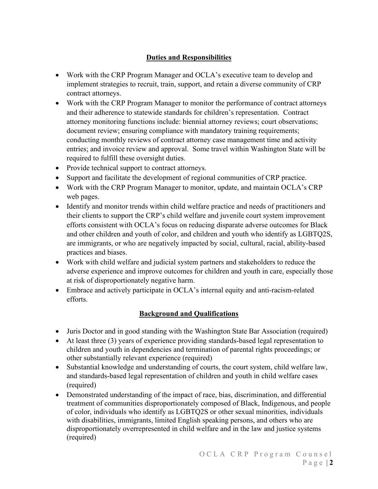## **Duties and Responsibilities**

- Work with the CRP Program Manager and OCLA's executive team to develop and implement strategies to recruit, train, support, and retain a diverse community of CRP contract attorneys.
- Work with the CRP Program Manager to monitor the performance of contract attorneys and their adherence to statewide standards for children's representation. Contract attorney monitoring functions include: biennial attorney reviews; court observations; document review; ensuring compliance with mandatory training requirements; conducting monthly reviews of contract attorney case management time and activity entries; and invoice review and approval. Some travel within Washington State will be required to fulfill these oversight duties.
- Provide technical support to contract attorneys.
- Support and facilitate the development of regional communities of CRP practice.
- Work with the CRP Program Manager to monitor, update, and maintain OCLA's CRP web pages.
- Identify and monitor trends within child welfare practice and needs of practitioners and their clients to support the CRP's child welfare and juvenile court system improvement efforts consistent with OCLA's focus on reducing disparate adverse outcomes for Black and other children and youth of color, and children and youth who identify as LGBTQ2S, are immigrants, or who are negatively impacted by social, cultural, racial, ability-based practices and biases.
- Work with child welfare and judicial system partners and stakeholders to reduce the adverse experience and improve outcomes for children and youth in care, especially those at risk of disproportionately negative harm.
- Embrace and actively participate in OCLA's internal equity and anti-racism-related efforts.

#### **Background and Qualifications**

- Juris Doctor and in good standing with the Washington State Bar Association (required)
- At least three (3) years of experience providing standards-based legal representation to children and youth in dependencies and termination of parental rights proceedings; or other substantially relevant experience (required)
- Substantial knowledge and understanding of courts, the court system, child welfare law, and standards-based legal representation of children and youth in child welfare cases (required)
- Demonstrated understanding of the impact of race, bias, discrimination, and differential treatment of communities disproportionately composed of Black, Indigenous, and people of color, individuals who identify as LGBTQ2S or other sexual minorities, individuals with disabilities, immigrants, limited English speaking persons, and others who are disproportionately overrepresented in child welfare and in the law and justice systems (required)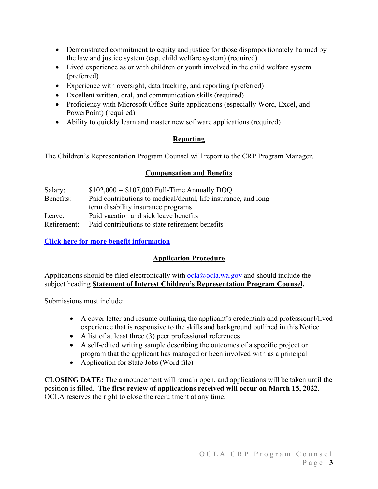- Demonstrated commitment to equity and justice for those disproportionately harmed by the law and justice system (esp. child welfare system) (required)
- Lived experience as or with children or youth involved in the child welfare system (preferred)
- Experience with oversight, data tracking, and reporting (preferred)
- Excellent written, oral, and communication skills (required)
- Proficiency with Microsoft Office Suite applications (especially Word, Excel, and PowerPoint) (required)
- Ability to quickly learn and master new software applications (required)

## **Reporting**

The Children's Representation Program Counsel will report to the CRP Program Manager.

#### **Compensation and Benefits**

| Salary:     | $$102,000 - $107,000$ Full-Time Annually DOQ                   |
|-------------|----------------------------------------------------------------|
| Benefits:   | Paid contributions to medical/dental, life insurance, and long |
|             | term disability insurance programs                             |
| Leave:      | Paid vacation and sick leave benefits                          |
| Retirement: | Paid contributions to state retirement benefits                |

## **[Click here for more benefit information](http://careers.wa.gov/working.html)**

## **Application Procedure**

Applications should be filed electronically with  $ocla@ocla.wa.gov$  and should include the subject heading **Statement of Interest Children's Representation Program Counsel.**

Submissions must include:

- A cover letter and resume outlining the applicant's credentials and professional/lived experience that is responsive to the skills and background outlined in this Notice
- A list of at least three (3) peer professional references
- A self-edited writing sample describing the outcomes of a specific project or program that the applicant has managed or been involved with as a principal
- Application for State Jobs (Word file)

**CLOSING DATE:** The announcement will remain open, and applications will be taken until the position is filled. T**he first review of applications received will occur on March 15, 2022**. OCLA reserves the right to close the recruitment at any time.